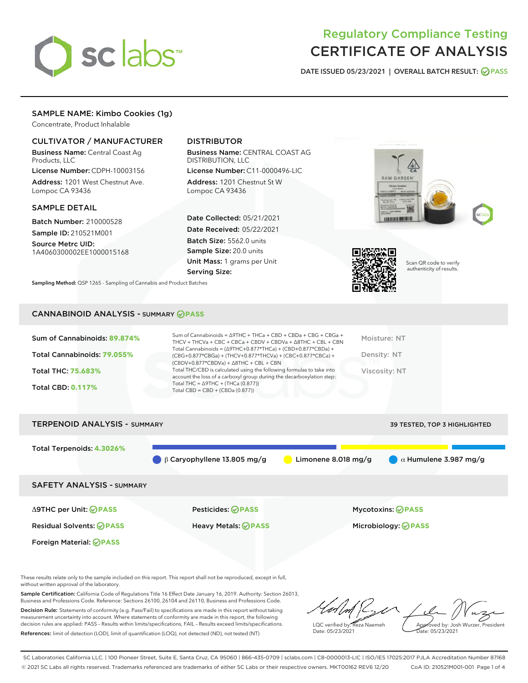

# Regulatory Compliance Testing CERTIFICATE OF ANALYSIS

DATE ISSUED 05/23/2021 | OVERALL BATCH RESULT: @ PASS

## SAMPLE NAME: Kimbo Cookies (1g)

Concentrate, Product Inhalable

#### CULTIVATOR / MANUFACTURER

Business Name: Central Coast Ag Products, LLC

License Number: CDPH-10003156 Address: 1201 West Chestnut Ave. Lompoc CA 93436

#### SAMPLE DETAIL

Batch Number: 210000528 Sample ID: 210521M001

Source Metrc UID: 1A4060300002EE1000015168

## DISTRIBUTOR

Business Name: CENTRAL COAST AG DISTRIBUTION, LLC

License Number: C11-0000496-LIC Address: 1201 Chestnut St W Lompoc CA 93436

Date Collected: 05/21/2021 Date Received: 05/22/2021 Batch Size: 5562.0 units Sample Size: 20.0 units Unit Mass: 1 grams per Unit Serving Size:





Scan QR code to verify authenticity of results.

Sampling Method: QSP 1265 - Sampling of Cannabis and Product Batches

#### CANNABINOID ANALYSIS - SUMMARY **PASS**

| account the loss of a carboxyl group during the decarboxylation step:<br>Total THC = $\triangle$ 9THC + (THCa (0.877))<br><b>Total CBD: 0.117%</b><br>Total CBD = $CBD + (CBDa (0.877))$ | Sum of Cannabinoids: 89.874%<br>Total Cannabinoids: 79.055%<br><b>Total THC: 75.683%</b> | Sum of Cannabinoids = $\triangle$ 9THC + THCa + CBD + CBDa + CBG + CBGa +<br>THCV + THCVa + CBC + CBCa + CBDV + CBDVa + $\Delta$ 8THC + CBL + CBN<br>Total Cannabinoids = $(\Delta$ 9THC+0.877*THCa) + (CBD+0.877*CBDa) +<br>(CBG+0.877*CBGa) + (THCV+0.877*THCVa) + (CBC+0.877*CBCa) +<br>$(CBDV+0.877*CBDVa) + \Delta 8THC + CBL + CBN$<br>Total THC/CBD is calculated using the following formulas to take into | Moisture: NT<br>Density: NT<br>Viscosity: NT |
|------------------------------------------------------------------------------------------------------------------------------------------------------------------------------------------|------------------------------------------------------------------------------------------|--------------------------------------------------------------------------------------------------------------------------------------------------------------------------------------------------------------------------------------------------------------------------------------------------------------------------------------------------------------------------------------------------------------------|----------------------------------------------|
|                                                                                                                                                                                          |                                                                                          |                                                                                                                                                                                                                                                                                                                                                                                                                    |                                              |



These results relate only to the sample included on this report. This report shall not be reproduced, except in full, without written approval of the laboratory.

Sample Certification: California Code of Regulations Title 16 Effect Date January 16, 2019. Authority: Section 26013, Business and Professions Code. Reference: Sections 26100, 26104 and 26110, Business and Professions Code.

Decision Rule: Statements of conformity (e.g. Pass/Fail) to specifications are made in this report without taking measurement uncertainty into account. Where statements of conformity are made in this report, the following decision rules are applied: PASS – Results within limits/specifications, FAIL – Results exceed limits/specifications. References: limit of detection (LOD), limit of quantification (LOQ), not detected (ND), not tested (NT)

LQC verified by: Reza Naemeh Date: 05/23/2021 Approved by: Josh Wurzer, President Date: 05/23/2021

SC Laboratories California LLC. | 100 Pioneer Street, Suite E, Santa Cruz, CA 95060 | 866-435-0709 | sclabs.com | C8-0000013-LIC | ISO/IES 17025:2017 PJLA Accreditation Number 87168 © 2021 SC Labs all rights reserved. Trademarks referenced are trademarks of either SC Labs or their respective owners. MKT00162 REV6 12/20 CoA ID: 210521M001-001 Page 1 of 4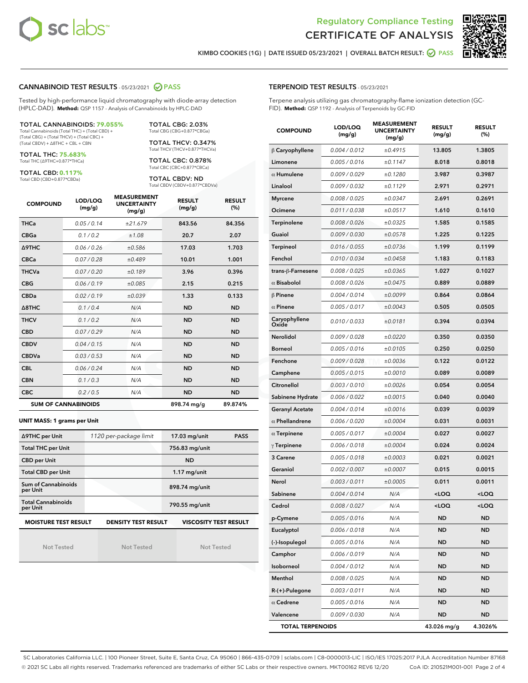



KIMBO COOKIES (1G) | DATE ISSUED 05/23/2021 | OVERALL BATCH RESULT: **● PASS** 

#### CANNABINOID TEST RESULTS - 05/23/2021 @ PASS

Tested by high-performance liquid chromatography with diode-array detection (HPLC-DAD). **Method:** QSP 1157 - Analysis of Cannabinoids by HPLC-DAD

TOTAL CANNABINOIDS: **79.055%** Total Cannabinoids (Total THC) + (Total CBD) +

(Total CBG) + (Total THCV) + (Total CBC) + (Total CBDV) + ∆8THC + CBL + CBN

TOTAL THC: **75.683%** Total THC (∆9THC+0.877\*THCa)

TOTAL CBD: **0.117%**

Total CBD (CBD+0.877\*CBDa)

TOTAL CBG: 2.03% Total CBG (CBG+0.877\*CBGa)

TOTAL THCV: 0.347% Total THCV (THCV+0.877\*THCVa)

TOTAL CBC: 0.878% Total CBC (CBC+0.877\*CBCa)

TOTAL CBDV: ND Total CBDV (CBDV+0.877\*CBDVa)

| <b>COMPOUND</b> | LOD/LOQ<br>(mg/g)          | <b>MEASUREMENT</b><br><b>UNCERTAINTY</b><br>(mg/g) | <b>RESULT</b><br>(mg/g) | <b>RESULT</b><br>(%) |
|-----------------|----------------------------|----------------------------------------------------|-------------------------|----------------------|
| <b>THCa</b>     | 0.05/0.14                  | ±21.679                                            | 843.56                  | 84.356               |
| <b>CBGa</b>     | 0.1/0.2                    | ±1.08                                              | 20.7                    | 2.07                 |
| <b>A9THC</b>    | 0.06 / 0.26                | ±0.586                                             | 17.03                   | 1.703                |
| <b>CBCa</b>     | 0.07/0.28                  | ±0.489                                             | 10.01                   | 1.001                |
| <b>THCVa</b>    | 0.07/0.20                  | ±0.189                                             | 3.96                    | 0.396                |
| <b>CBG</b>      | 0.06/0.19                  | ±0.085                                             | 2.15                    | 0.215                |
| <b>CBDa</b>     | 0.02/0.19                  | ±0.039                                             | 1.33                    | 0.133                |
| A8THC           | 0.1/0.4                    | N/A                                                | <b>ND</b>               | <b>ND</b>            |
| <b>THCV</b>     | 0.1/0.2                    | N/A                                                | <b>ND</b>               | <b>ND</b>            |
| <b>CBD</b>      | 0.07/0.29                  | N/A                                                | <b>ND</b>               | <b>ND</b>            |
| <b>CBDV</b>     | 0.04 / 0.15                | N/A                                                | <b>ND</b>               | <b>ND</b>            |
| <b>CBDVa</b>    | 0.03/0.53                  | N/A                                                | <b>ND</b>               | <b>ND</b>            |
| <b>CBL</b>      | 0.06 / 0.24                | N/A                                                | <b>ND</b>               | <b>ND</b>            |
| <b>CBN</b>      | 0.1/0.3                    | N/A                                                | <b>ND</b>               | <b>ND</b>            |
| <b>CBC</b>      | 0.2 / 0.5                  | N/A                                                | <b>ND</b>               | <b>ND</b>            |
|                 | <b>SUM OF CANNABINOIDS</b> |                                                    | 898.74 mg/g             | 89.874%              |

**UNIT MASS: 1 grams per Unit**

| ∆9THC per Unit                        | 1120 per-package limit     | 17.03 mg/unit<br><b>PASS</b> |
|---------------------------------------|----------------------------|------------------------------|
| <b>Total THC per Unit</b>             |                            | 756.83 mg/unit               |
| <b>CBD per Unit</b>                   |                            | <b>ND</b>                    |
| <b>Total CBD per Unit</b>             |                            | $1.17$ mg/unit               |
| Sum of Cannabinoids<br>per Unit       |                            | 898.74 mg/unit               |
| <b>Total Cannabinoids</b><br>per Unit |                            | 790.55 mg/unit               |
| <b>MOISTURE TEST RESULT</b>           | <b>DENSITY TEST RESULT</b> | <b>VISCOSITY TEST RESULT</b> |

Not Tested

Not Tested

Not Tested

#### TERPENOID TEST RESULTS - 05/23/2021

Terpene analysis utilizing gas chromatography-flame ionization detection (GC-FID). **Method:** QSP 1192 - Analysis of Terpenoids by GC-FID

| <b>COMPOUND</b>         | LOD/LOQ<br>(mg/g) | <b>MEASUREMENT</b><br><b>UNCERTAINTY</b><br>(mg/g) | <b>RESULT</b><br>(mg/g)                          | <b>RESULT</b><br>(%) |
|-------------------------|-------------------|----------------------------------------------------|--------------------------------------------------|----------------------|
| $\beta$ Caryophyllene   | 0.004 / 0.012     | ±0.4915                                            | 13.805                                           | 1.3805               |
| Limonene                | 0.005 / 0.016     | ±0.1147                                            | 8.018                                            | 0.8018               |
| $\alpha$ Humulene       | 0.009/0.029       | ±0.1280                                            | 3.987                                            | 0.3987               |
| Linalool                | 0.009 / 0.032     | ±0.1129                                            | 2.971                                            | 0.2971               |
| <b>Myrcene</b>          | 0.008 / 0.025     | ±0.0347                                            | 2.691                                            | 0.2691               |
| Ocimene                 | 0.011 / 0.038     | ±0.0517                                            | 1.610                                            | 0.1610               |
| Terpinolene             | 0.008 / 0.026     | ±0.0325                                            | 1.585                                            | 0.1585               |
| Guaiol                  | 0.009 / 0.030     | ±0.0578                                            | 1.225                                            | 0.1225               |
| <b>Terpineol</b>        | 0.016 / 0.055     | ±0.0736                                            | 1.199                                            | 0.1199               |
| Fenchol                 | 0.010 / 0.034     | ±0.0458                                            | 1.183                                            | 0.1183               |
| trans-ß-Farnesene       | 0.008 / 0.025     | ±0.0365                                            | 1.027                                            | 0.1027               |
| $\alpha$ Bisabolol      | 0.008 / 0.026     | ±0.0475                                            | 0.889                                            | 0.0889               |
| $\beta$ Pinene          | 0.004 / 0.014     | ±0.0099                                            | 0.864                                            | 0.0864               |
| $\alpha$ Pinene         | 0.005 / 0.017     | ±0.0043                                            | 0.505                                            | 0.0505               |
| Caryophyllene<br>Oxide  | 0.010 / 0.033     | ±0.0181                                            | 0.394                                            | 0.0394               |
| Nerolidol               | 0.009 / 0.028     | ±0.0220                                            | 0.350                                            | 0.0350               |
| <b>Borneol</b>          | 0.005 / 0.016     | ±0.0105                                            | 0.250                                            | 0.0250               |
| Fenchone                | 0.009 / 0.028     | ±0.0036                                            | 0.122                                            | 0.0122               |
| Camphene                | 0.005 / 0.015     | ±0.0010                                            | 0.089                                            | 0.0089               |
| Citronellol             | 0.003 / 0.010     | ±0.0026                                            | 0.054                                            | 0.0054               |
| Sabinene Hydrate        | 0.006 / 0.022     | ±0.0015                                            | 0.040                                            | 0.0040               |
| <b>Geranyl Acetate</b>  | 0.004 / 0.014     | ±0.0016                                            | 0.039                                            | 0.0039               |
| $\alpha$ Phellandrene   | 0.006 / 0.020     | ±0.0004                                            | 0.031                                            | 0.0031               |
| $\alpha$ Terpinene      | 0.005 / 0.017     | ±0.0004                                            | 0.027                                            | 0.0027               |
| $\gamma$ Terpinene      | 0.006 / 0.018     | ±0.0004                                            | 0.024                                            | 0.0024               |
| 3 Carene                | 0.005 / 0.018     | ±0.0003                                            | 0.021                                            | 0.0021               |
| Geraniol                | 0.002 / 0.007     | ±0.0007                                            | 0.015                                            | 0.0015               |
| Nerol                   | 0.003 / 0.011     | ±0.0005                                            | 0.011                                            | 0.0011               |
| Sabinene                | 0.004 / 0.014     | N/A                                                | <loq< th=""><th><math>&lt;</math>LOQ</th></loq<> | $<$ LOQ              |
| Cedrol                  | 0.008 / 0.027     | N/A                                                | $<$ l OO                                         | <loq< th=""></loq<>  |
| p-Cymene                | 0.005 / 0.016     | N/A                                                | ND                                               | ND                   |
| Eucalyptol              | 0.006 / 0.018     | N/A                                                | <b>ND</b>                                        | ND                   |
| (-)-Isopulegol          | 0.005 / 0.016     | N/A                                                | ND                                               | ND                   |
| Camphor                 | 0.006 / 0.019     | N/A                                                | ND                                               | ND                   |
| Isoborneol              | 0.004 / 0.012     | N/A                                                | ND                                               | ND                   |
| Menthol                 | 0.008 / 0.025     | N/A                                                | ND                                               | ND                   |
| $R-(+)$ -Pulegone       | 0.003 / 0.011     | N/A                                                | ND                                               | ND                   |
| $\alpha$ Cedrene        | 0.005 / 0.016     | N/A                                                | ND                                               | ND                   |
| Valencene               | 0.009 / 0.030     | N/A                                                | ND                                               | ND                   |
| <b>TOTAL TERPENOIDS</b> |                   |                                                    | 43.026 mg/g                                      | 4.3026%              |

SC Laboratories California LLC. | 100 Pioneer Street, Suite E, Santa Cruz, CA 95060 | 866-435-0709 | sclabs.com | C8-0000013-LIC | ISO/IES 17025:2017 PJLA Accreditation Number 87168 © 2021 SC Labs all rights reserved. Trademarks referenced are trademarks of either SC Labs or their respective owners. MKT00162 REV6 12/20 CoA ID: 210521M001-001 Page 2 of 4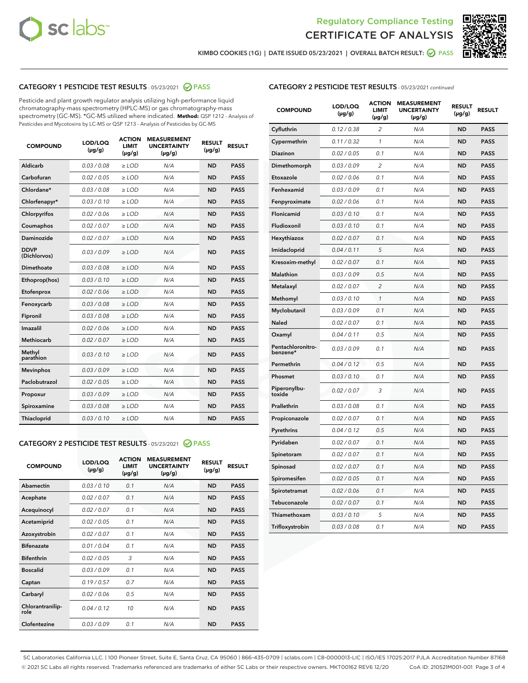



KIMBO COOKIES (1G) | DATE ISSUED 05/23/2021 | OVERALL BATCH RESULT:  $\bigotimes$  PASS

#### CATEGORY 1 PESTICIDE TEST RESULTS - 05/23/2021 2 PASS

Pesticide and plant growth regulator analysis utilizing high-performance liquid chromatography-mass spectrometry (HPLC-MS) or gas chromatography-mass spectrometry (GC-MS). \*GC-MS utilized where indicated. **Method:** QSP 1212 - Analysis of Pesticides and Mycotoxins by LC-MS or QSP 1213 - Analysis of Pesticides by GC-MS

| <b>COMPOUND</b>             | LOD/LOQ<br>$(\mu g/g)$ | <b>ACTION</b><br><b>LIMIT</b><br>$(\mu g/g)$ | <b>MEASUREMENT</b><br><b>UNCERTAINTY</b><br>$(\mu g/g)$ | <b>RESULT</b><br>$(\mu g/g)$ | <b>RESULT</b> |
|-----------------------------|------------------------|----------------------------------------------|---------------------------------------------------------|------------------------------|---------------|
| Aldicarb                    | 0.03/0.08              | $>$ LOD                                      | N/A                                                     | <b>ND</b>                    | <b>PASS</b>   |
| Carbofuran                  | 0.02 / 0.05            | $\ge$ LOD                                    | N/A                                                     | <b>ND</b>                    | <b>PASS</b>   |
| Chlordane*                  | 0.03 / 0.08            | $\ge$ LOD                                    | N/A                                                     | <b>ND</b>                    | <b>PASS</b>   |
| Chlorfenapyr*               | 0.03/0.10              | $\ge$ LOD                                    | N/A                                                     | <b>ND</b>                    | <b>PASS</b>   |
| Chlorpyrifos                | 0.02 / 0.06            | $\ge$ LOD                                    | N/A                                                     | <b>ND</b>                    | <b>PASS</b>   |
| Coumaphos                   | 0.02 / 0.07            | $\ge$ LOD                                    | N/A                                                     | <b>ND</b>                    | <b>PASS</b>   |
| Daminozide                  | 0.02/0.07              | $>$ LOD                                      | N/A                                                     | <b>ND</b>                    | <b>PASS</b>   |
| <b>DDVP</b><br>(Dichlorvos) | 0.03/0.09              | $\ge$ LOD                                    | N/A                                                     | <b>ND</b>                    | <b>PASS</b>   |
| <b>Dimethoate</b>           | 0.03/0.08              | $\ge$ LOD                                    | N/A                                                     | <b>ND</b>                    | <b>PASS</b>   |
| Ethoprop(hos)               | 0.03/0.10              | $\ge$ LOD                                    | N/A                                                     | <b>ND</b>                    | <b>PASS</b>   |
| Etofenprox                  | 0.02 / 0.06            | $\ge$ LOD                                    | N/A                                                     | <b>ND</b>                    | <b>PASS</b>   |
| Fenoxycarb                  | 0.03/0.08              | $\ge$ LOD                                    | N/A                                                     | <b>ND</b>                    | <b>PASS</b>   |
| Fipronil                    | 0.03/0.08              | $\ge$ LOD                                    | N/A                                                     | <b>ND</b>                    | <b>PASS</b>   |
| Imazalil                    | 0.02 / 0.06            | $>$ LOD                                      | N/A                                                     | <b>ND</b>                    | <b>PASS</b>   |
| Methiocarb                  | 0.02 / 0.07            | $>$ LOD                                      | N/A                                                     | <b>ND</b>                    | <b>PASS</b>   |
| Methyl<br>parathion         | 0.03/0.10              | $>$ LOD                                      | N/A                                                     | <b>ND</b>                    | <b>PASS</b>   |
| <b>Mevinphos</b>            | 0.03/0.09              | $\ge$ LOD                                    | N/A                                                     | <b>ND</b>                    | <b>PASS</b>   |
| Paclobutrazol               | 0.02 / 0.05            | $>$ LOD                                      | N/A                                                     | <b>ND</b>                    | <b>PASS</b>   |
| Propoxur                    | 0.03/0.09              | $\ge$ LOD                                    | N/A                                                     | <b>ND</b>                    | <b>PASS</b>   |
| Spiroxamine                 | 0.03 / 0.08            | $\ge$ LOD                                    | N/A                                                     | <b>ND</b>                    | <b>PASS</b>   |
| Thiacloprid                 | 0.03/0.10              | $\ge$ LOD                                    | N/A                                                     | <b>ND</b>                    | <b>PASS</b>   |

#### CATEGORY 2 PESTICIDE TEST RESULTS - 05/23/2021 @ PASS

| <b>COMPOUND</b>          | LOD/LOQ<br>$(\mu g/g)$ | <b>ACTION</b><br>LIMIT<br>$(\mu g/g)$ | <b>MEASUREMENT</b><br><b>UNCERTAINTY</b><br>$(\mu g/g)$ | <b>RESULT</b><br>$(\mu g/g)$ | <b>RESULT</b> |
|--------------------------|------------------------|---------------------------------------|---------------------------------------------------------|------------------------------|---------------|
| Abamectin                | 0.03/0.10              | 0.1                                   | N/A                                                     | <b>ND</b>                    | <b>PASS</b>   |
| Acephate                 | 0.02/0.07              | 0.1                                   | N/A                                                     | <b>ND</b>                    | <b>PASS</b>   |
| Acequinocyl              | 0.02/0.07              | 0.1                                   | N/A                                                     | <b>ND</b>                    | <b>PASS</b>   |
| Acetamiprid              | 0.02/0.05              | 0.1                                   | N/A                                                     | <b>ND</b>                    | <b>PASS</b>   |
| Azoxystrobin             | 0.02/0.07              | 0.1                                   | N/A                                                     | <b>ND</b>                    | <b>PASS</b>   |
| <b>Bifenazate</b>        | 0.01 / 0.04            | 0.1                                   | N/A                                                     | <b>ND</b>                    | <b>PASS</b>   |
| <b>Bifenthrin</b>        | 0.02/0.05              | 3                                     | N/A                                                     | <b>ND</b>                    | <b>PASS</b>   |
| <b>Boscalid</b>          | 0.03/0.09              | 0.1                                   | N/A                                                     | <b>ND</b>                    | <b>PASS</b>   |
| Captan                   | 0.19/0.57              | 0.7                                   | N/A                                                     | <b>ND</b>                    | <b>PASS</b>   |
| Carbaryl                 | 0.02/0.06              | 0.5                                   | N/A                                                     | <b>ND</b>                    | <b>PASS</b>   |
| Chlorantranilip-<br>role | 0.04/0.12              | 10                                    | N/A                                                     | <b>ND</b>                    | <b>PASS</b>   |
| Clofentezine             | 0.03/0.09              | 0.1                                   | N/A                                                     | <b>ND</b>                    | <b>PASS</b>   |

| <b>COMPOUND</b>               | LOD/LOQ<br>$(\mu g/g)$ | <b>ACTION</b><br>LIMIT<br>(µg/g) | <b>MEASUREMENT</b><br><b>UNCERTAINTY</b><br>(µg/g) | <b>RESULT</b><br>$(\mu g/g)$ | <b>RESULT</b> |
|-------------------------------|------------------------|----------------------------------|----------------------------------------------------|------------------------------|---------------|
| Cyfluthrin                    | 0.12 / 0.38            | $\overline{c}$                   | N/A                                                | ND                           | <b>PASS</b>   |
| Cypermethrin                  | 0.11 / 0.32            | 1                                | N/A                                                | <b>ND</b>                    | <b>PASS</b>   |
| Diazinon                      | 0.02 / 0.05            | 0.1                              | N/A                                                | <b>ND</b>                    | <b>PASS</b>   |
| Dimethomorph                  | 0.03 / 0.09            | 2                                | N/A                                                | <b>ND</b>                    | <b>PASS</b>   |
| Etoxazole                     | 0.02 / 0.06            | 0.1                              | N/A                                                | <b>ND</b>                    | <b>PASS</b>   |
| Fenhexamid                    | 0.03 / 0.09            | 0.1                              | N/A                                                | <b>ND</b>                    | <b>PASS</b>   |
| Fenpyroximate                 | 0.02 / 0.06            | 0.1                              | N/A                                                | <b>ND</b>                    | <b>PASS</b>   |
| Flonicamid                    | 0.03 / 0.10            | 0.1                              | N/A                                                | <b>ND</b>                    | <b>PASS</b>   |
| Fludioxonil                   | 0.03/0.10              | 0.1                              | N/A                                                | <b>ND</b>                    | <b>PASS</b>   |
| Hexythiazox                   | 0.02 / 0.07            | 0.1                              | N/A                                                | <b>ND</b>                    | <b>PASS</b>   |
| Imidacloprid                  | 0.04 / 0.11            | 5                                | N/A                                                | <b>ND</b>                    | <b>PASS</b>   |
| Kresoxim-methyl               | 0.02 / 0.07            | 0.1                              | N/A                                                | <b>ND</b>                    | <b>PASS</b>   |
| <b>Malathion</b>              | 0.03 / 0.09            | 0.5                              | N/A                                                | <b>ND</b>                    | <b>PASS</b>   |
| Metalaxyl                     | 0.02 / 0.07            | $\overline{c}$                   | N/A                                                | <b>ND</b>                    | <b>PASS</b>   |
| Methomyl                      | 0.03 / 0.10            | $\mathcal{I}$                    | N/A                                                | <b>ND</b>                    | <b>PASS</b>   |
| Myclobutanil                  | 0.03 / 0.09            | 0.1                              | N/A                                                | <b>ND</b>                    | <b>PASS</b>   |
| Naled                         | 0.02 / 0.07            | 0.1                              | N/A                                                | <b>ND</b>                    | <b>PASS</b>   |
| Oxamyl                        | 0.04 / 0.11            | 0.5                              | N/A                                                | <b>ND</b>                    | <b>PASS</b>   |
| Pentachloronitro-<br>benzene* | 0.03/0.09              | 0.1                              | N/A                                                | <b>ND</b>                    | <b>PASS</b>   |
| Permethrin                    | 0.04 / 0.12            | 0.5                              | N/A                                                | <b>ND</b>                    | <b>PASS</b>   |
| Phosmet                       | 0.03 / 0.10            | 0.1                              | N/A                                                | <b>ND</b>                    | <b>PASS</b>   |
| Piperonylbu-<br>toxide        | 0.02 / 0.07            | 3                                | N/A                                                | <b>ND</b>                    | <b>PASS</b>   |
| Prallethrin                   | 0.03 / 0.08            | 0.1                              | N/A                                                | <b>ND</b>                    | <b>PASS</b>   |
| Propiconazole                 | 0.02 / 0.07            | 0.1                              | N/A                                                | <b>ND</b>                    | <b>PASS</b>   |
| Pyrethrins                    | 0.04 / 0.12            | 0.5                              | N/A                                                | <b>ND</b>                    | <b>PASS</b>   |
| Pyridaben                     | 0.02 / 0.07            | 0.1                              | N/A                                                | <b>ND</b>                    | <b>PASS</b>   |
| Spinetoram                    | 0.02 / 0.07            | 0.1                              | N/A                                                | ND                           | <b>PASS</b>   |
| Spinosad                      | 0.02 / 0.07            | 0.1                              | N/A                                                | <b>ND</b>                    | <b>PASS</b>   |
| Spiromesifen                  | 0.02 / 0.05            | 0.1                              | N/A                                                | <b>ND</b>                    | <b>PASS</b>   |
| Spirotetramat                 | 0.02 / 0.06            | 0.1                              | N/A                                                | <b>ND</b>                    | <b>PASS</b>   |
| Tebuconazole                  | 0.02 / 0.07            | 0.1                              | N/A                                                | ND                           | <b>PASS</b>   |
| Thiamethoxam                  | 0.03 / 0.10            | 5                                | N/A                                                | <b>ND</b>                    | <b>PASS</b>   |
| Trifloxystrobin               | 0.03 / 0.08            | 0.1                              | N/A                                                | <b>ND</b>                    | <b>PASS</b>   |

SC Laboratories California LLC. | 100 Pioneer Street, Suite E, Santa Cruz, CA 95060 | 866-435-0709 | sclabs.com | C8-0000013-LIC | ISO/IES 17025:2017 PJLA Accreditation Number 87168 © 2021 SC Labs all rights reserved. Trademarks referenced are trademarks of either SC Labs or their respective owners. MKT00162 REV6 12/20 CoA ID: 210521M001-001 Page 3 of 4